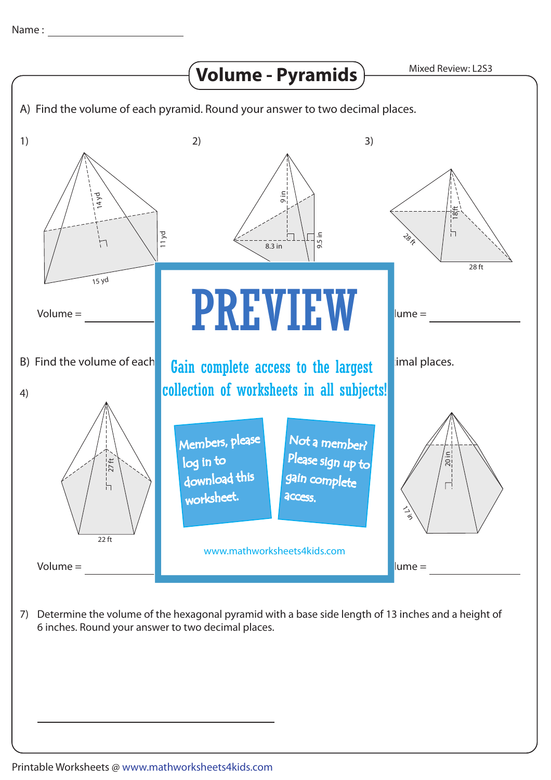

7) Determine the volume of the hexagonal pyramid with a base side length of 13 inches and a height of 6 inches. Round your answer to two decimal places.